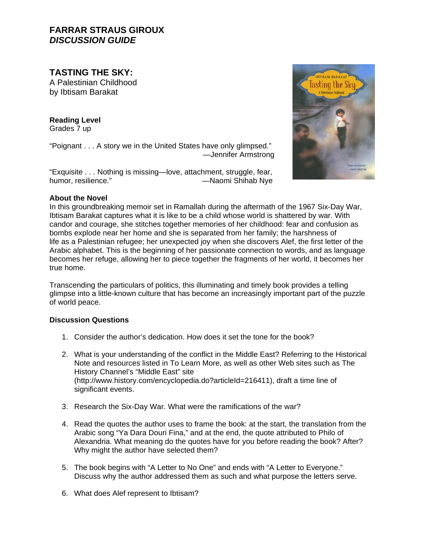# **FARRAR STRAUS GIROUX**  *DISCUSSION GUIDE*

**TASTING THE SKY:** 

A Palestinian Childhood by Ibtisam Barakat

**Reading Level** Grades 7 up

"Poignant . . . A story we in the United States have only glimpsed." —Jennifer Armstrong

"Exquisite . . . Nothing is missing—love, attachment, struggle, fear, humor, resilience." 
<br>  $\longrightarrow$ Naomi Shihab Nye

# Tasting the Sky

# **About the Novel**

In this groundbreaking memoir set in Ramallah during the aftermath of the 1967 Six-Day War, Ibtisam Barakat captures what it is like to be a child whose world is shattered by war. With candor and courage, she stitches together memories of her childhood: fear and confusion as bombs explode near her home and she is separated from her family; the harshness of life as a Palestinian refugee; her unexpected joy when she discovers Alef, the first letter of the Arabic alphabet. This is the beginning of her passionate connection to words, and as language becomes her refuge, allowing her to piece together the fragments of her world, it becomes her true home.

Transcending the particulars of politics, this illuminating and timely book provides a telling glimpse into a little-known culture that has become an increasingly important part of the puzzle of world peace.

# **Discussion Questions**

- 1. Consider the author's dedication. How does it set the tone for the book?
- 2. What is your understanding of the conflict in the Middle East? Referring to the Historical Note and resources listed in To Learn More, as well as other Web sites such as The History Channel's "Middle East" site (http://www.history.com/encyclopedia.do?articleId=216411), draft a time line of significant events.
- 3. Research the Six-Day War. What were the ramifications of the war?
- 4. Read the quotes the author uses to frame the book: at the start, the translation from the Arabic song "Ya Dara Douri Fina," and at the end, the quote attributed to Philo of Alexandria. What meaning do the quotes have for you before reading the book? After? Why might the author have selected them?
- 5. The book begins with "A Letter to No One" and ends with "A Letter to Everyone." Discuss why the author addressed them as such and what purpose the letters serve.
- 6. What does Alef represent to Ibtisam?